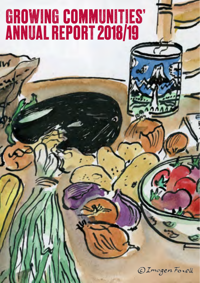## **GROWING COMMUNITIES' ANNUAL REPORT 2018/19**

© Imogen Forell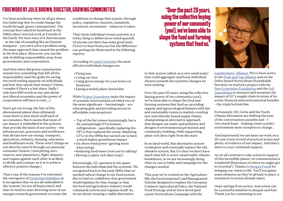## **Foreword by JulieBrown, Director, Growing Communities "Over the past 20 years,**

I've been pondering when we all got drawn into believing that we could change the world through 'green consumerism'. The concept first raised its head back in the 1980s when I started work at Friends of the Earth. We were wary of it then because – at the risk of sounding like an Einstein misquote – you can't solve a problem using the same approach that caused the problem in the first place. Moreover, you run the risk of shifting responsibility away from governments and corporations.

And then when did green consumerism mutate into something that left *all* the responsibility (and the guilt) for saving the word resting squarely on individuals and how they spend their money? (Hmm, I wonder if there's a link there. Sadly I only have 800 words so my rant about neo-liberal economics and the power of corporations will have to wait….)

Don't get me wrong: the fate of this phenomenal planet does ultimately come down to how much stuff each of us consumes. But it seems that most of our impact is embedded in the systems that provide the basis of our society – the infrastructure, processes and worldviews that dictate how our energy, transport, agriculture, industry, housing, education and healthcare work. These aren't things we can directly control through our personal consumer choices. (And pitting zerowasters, anti-plastickers, flight-shamers and vegans against each other is as likely to divide and conquer as it is to achieve effective positive change.)

That's one of the reasons I've welcomed the emergence of [Extinction Rebellion](https://rebellion.earth/) as it recognises that we are all embedded in the 'system' (we are all hypocrites!) and that we need to start directing more of our energies towards government to create the conditions to change that system, through policy, regulation, taxation, standards, incentives, investment – whatever it takes.

That whole individual versus systemic is a tricky thing to define never mind quantify (if anyone out there has some good stats I'd love to hear from you) but the difference can perhaps be illustrated in the following reports:

According to [Lund University](https://phys.org/news/2017-07-effective-individual-tackle-climate-discussed.html) the most effective individual changes are:

- Flying less
- Living car-free
- Using green energy for your home (or business)
- Eating a mainly plant-based diet

While [Project Drawdown](https://www.drawdown.org/solutions-summary-by-rank) ranks the impact of systemic interventions (of which two of the most significant – fascinatingly – are educating girls and providing access to affordable contraception):

- Top of the list comes (surprisingly, but a bit uninspiringly if I'm honest) refrigeration – specifically replacing the HFCs that replaced the ozone-depleting CFCs in the 1990s but turned out to have a much higher greenhouse impact
- On-shore wind power (getting more interesting)
- Reducing food waste (now you're talking)
- Moving to plant-rich diets (yay!)

Interestingly, GC operates in the space *between* the individual and the systemic. We recognised back in the early 1990s that we needed radical change in our food system. But we had no confidence that government would legislate for that change or that the food and agriculture industry would voluntarily reform and regulate itself. So, we set about creating a viable alternative

**using the collective buying power of our community (you!), we've been able to shape the food and farming systems that feed us."**

to that system (albeit on a very small scale) that could aggregate and focus individual choices towards the systemic changes we were seeking.

Over the past 20 years, using the collective buying power of our community (you!), we've been able to shape the food and farming systems that feed us: providing organic and agroecological farmers with fair and sustainable routes to market; creating new and ethically based supply chains; championing an alternative approach that designs out waste and pollution and designs *in* environmental protection and community-building, while supporting plant-rich diets right from the start.

In an ideal world, this alternative system would grow and eventually replace the old, obsolete system. But it's clear we don't have much time left to avert catastrophic climate breakdown, so we are increasingly doing what we can to lobby and campaign for the changes needed.

This year we've worked on the Agriculture Bill, the Environmental Land Management Scheme designed to replace the European Common Agricultural Policy, the National Food Strategy and we have developed a joint Horticulture Campaign with the

[Landworkers' Alliance](https://landworkersalliance.org.uk/). We've been active in the [Fruit and Veg Alliance](https://foodfoundation.org.uk/project/fruit-vegetable-alliance/) and on the Defra-based Horticulture Roundtable. Recently we started a project with the [New Economics Foundation](https://neweconomics.org/) and the [Soil](https://www.soilassociation.org/)  [Association](https://www.soilassociation.org/) to measure and monetise the impact of GC's supply chain in terms of its social, financial and environmental benefits – the triple bottom line.

Fortunately, XR, Greta and the Youth Climate Movement are shifting the tone of the conversations possible and – I very much hope – helping create a policy environment more receptive to change.

And importantly we can base our work on a 20-year track record of practical action and plenty of evidence of our impact. And that's down to your continued support.

As we all continue to take action in support of this incredible planet, we commissioned a wonderful illustration of where we might get to (overleaf). Thanks to [Imogen Foxell](https://www.imogenfoxell.com/) for bringing our vision to life. You'll recognise some elements as they're already in place: a testament to action already taken.

Hope springs from action. And action can be a powerful antidote to despair and fear. Thank you for continuing to act.

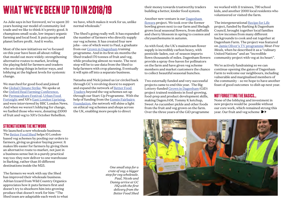## **WHAT WE'VE BEEN UP TO IN 2018/19**

As Julie says in her foreword, we've spent 20 years honing our model of community-led trade and we like to think it's pretty good. It champions small-scale, low-impact organic farming and local food. It puts people and planet before profit. And it works.

Most of the new initiatives we've focused on this year have been all about rolling that model out more widely: strengthening alternative routes to market, leveling the playing field for farmers and traders who are doing things in better ways, and lobbying at the highest levels for systemic change.

We marched for good food and joined the [Global Climate Strike.](https://globalclimatestrike.net/) We spoke at the [Oxford Real Farming Conference,](https://orfc.org.uk/orfc-2020/) the [Permaculture Festival,](http://londonpermaculturefestival.com/) [Urban Food](https://www.sustainweb.org/londonfoodlink/uff/)  [Fortnight](https://www.sustainweb.org/londonfoodlink/uff/) and XR's [East London Uprising](https://rebellion.earth/event/extinction-rebellion-east-london-uprising/), and were interviewed by BBC London News. And when we weren't lobbying for change, we fuelled those who were, donating £1000 of fruit and veg to XR's October Rebellion.

#### we have, which makes it work for us, unlike normal wholesale."

The Shed's going really well. It has expanded the number of farmers who directly supply our veg scheme. It has created four new jobs – one of which went to Paul, a graduate from our [Grown in Dagenham](https://www.growingcommunities.org/grown-dagenham) training programme. And in its first six months the Shed traded 170 tonnes of fruit and veg, while producing almost no waste. The next step will be to use data from the Shed to help farmers with crop planning. Eventually it will spin off into a separate business.

Natasha and Nicki joined us (or circled back through GC's revolving doors) to support and expand the network of [Better Food](https://betterfoodtraders.org/)  [Traders](https://betterfoodtraders.org/) beyond the veg schemes set up through our Start-Up Programme. With the help of funding from the [Esmée Fairbairn](https://www.esmeefairbairn.org.uk/)  [Foundation,](https://www.esmeefairbairn.org.uk/) the network will shine a light on ethical veg schemes and shops across the UK, enabling more people to direct

their money towards trustworthy traders building a better, kinder food system.

Another new venture is our [Dagenham](https://www.growingcommunities.org/flowers)  [flowers](https://www.growingcommunities.org/flowers) project. We took over the former bowling green next to our farm and Shelagh grows local seasonal flowers, from daffodils and cherry blossom in spring to cosmos and chrysanthemums in autumn.

As with food, the UK's mainstream flower supply is incredibly carbon heavy, with pesticide-laden, out-of-season imports flown thousands of miles. Dagenham flowers provide a spray-free haven for pollinators on the farm and have given veg scheme members and market customers the chance to collect beautiful seasonal bunches.

Two externally funded and very successful projects came to end this year. The Big Lottery-funded [Grown in Dagenham](https://www.growingcommunities.org/grown-dagenham) (GiD) project trained residents in food-growing, food-prep and product development skills, making DagenJAM, Tommy K ketchup, Sweet As cucumber pickle and other foods from the fruit and veg grown on the farm. Over the three years of the GiD programme

we worked with 11 trainees, 790 school kids, and another 2000 local residents who volunteered or visited the farm.

The intergenerational [Recipe for Life](https://www.growingcommunities.org/blog/2019/11/recipe-life) project, funded by Barking & Dagenham Council, brought together local families on low incomes from many different backgrounds to cook and eat together at Dagenham Farm. The project was featured on [Jamie Oliver's TV programme](https://twitter.com/Channel4/status/1176167338485284864) *Meat-Free Meals,* when he described it as a "culinary United Nations" and an "incredible community project with veg at its heart".

We're actively fundraising so we can continue opening the gates of Dagenham Farm to welcome our neighbours, including vulnerable and marginalised members of the community – so we hope to have another feast of good outcomes to dish up next year.

#### **NOT FORGETTING THE BASICS...**

None of the lobbying and investment in new projects would be possible without our core work, which remained strong this year. Our fruit and veg scheme **≥** 

#### **Strengtheningthenetwork**

We launched a new wholesale business. The [Better Food Shed](https://www.growingcommunities.org/blog/2019/02/new-kind-wholesaler) helps 10 Londonbased veg schemes by pooling our orders to farmers, giving us greater buying power. It makes life easier for farmers by giving them an alternative route to market, not just in a business sense but in a purely practical way too: they now deliver to one warehouse in Barking, rather than 10 different destinations inside the M25.

The farmers we work with say the Shed has improved their wholesale business. Adrian Izzard from Wild Country Organics appreciates how it puts farmers first and doesn't try to shoehorn him into growing produce that doesn't work for him: "The Shed team are adaptable each week to what

*One small step for a crate of veg; a bigger step for veg wholesale. Paul, Nicole and Danny arrive at GC HQ with the first delivery from the Better Food Shed*

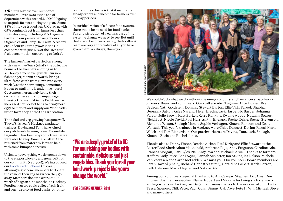**≤** hit its highest ever number of members – over 1600 at the end of September, with a record £400,000 going to organic farmers during the year. Some 88% of the veg traded was UK-grown, with 65% coming direct from farms less than 100 miles away, including GC's Dagenham Farm and our peri-urban neighbours Organiclea and Forty Hall Farm. A record 39% of our fruit was grown in the UK, compared with just  $17\%$  of the UK's total fruit consumption (according to Defra).

The farmers' market carried on strong with a new hive/buzz (what's the collective noun?) of beekeepers allowing us to sell honey almost every week. Our new fishmonger, Martin Yorwarth, brings ultra-fresh catch from Newhaven every week (weather permitting). Sometimes its sea-to-stall time is under five hours! Customers increasingly bring their own containers and shop unpackaged. Livestock farmer Fabienne Peckham has increased her flock of hens to bring more eggs to market and supply our Wednesday urban farm shop at the Old Fire Station.

The salad and veg growing has gone well. Two of this year's Hackney graduate trainees, Davina and Tom, have joined our patchwork farming team. Meanwhile, Dagenham has been so productive that we were able to keep Ximena on after Alice returned from maternity leave to help with some bumper harvests.

Ultimately, everything we do comes down to the support, loyalty and generosity of our community (yep, you!). We introduced our [Food Credit Scheme](https://www.growingcommunities.org/weeks-veg) this year, allowing veg scheme members to donate the value of their veg bag when they go away. Members donated over £5000 worth of bags in nine months, so Hackney Foodbank users could collect fresh fruit and veg – a rarity at food banks. Another

bonus of the scheme is that it maintains steady orders and income for farmers over holiday periods.

In our ideal vision of a future food system, there would be no need for food banks. Fairer distribution of wealth is part of the systemic change we need to see. But until that vision becomes a reality, the foodbank team are very appreciative of all you have given them. As always, thank you.



We couldn't do what we do without the energy of our staff, freelancers, patchwork growers, Board and volunteers. Our staff are Alex Tugume, Alice Holden, Bren Bedson, Cath Goldstein, Dominic Stewart Barton, Ellie Virk, Farook Bhabha, Georgina Sutton, Giles Narang, Helen Bredin, Jack Harber, Jo Barber, Johanna Valeur, Julie Brown, Katy Barker, Kerry Rankine, Kwame Appau, Natasha Soares, Nicki East, Nicole David, Paul Harriss, Phil England, Rachel Dring, Rachel Stevenson, Richenda Wilson, Shelagh Martin, Sophie Verhagen, Ximena Ransom and Zosia Walczak. This year's trainees in Hackney were Chloe Dunnett, Davina Pascal, Mark Welch and Tom Richardson. Our patchworkers are Davina, Tom, Jack, Shelagh, Ximena, Zosia and Rachel Jones.

Thanks also to Danny Fisher, Deedee Aitken, Paul Kirby and Ellie Stewart at the Better Food Shed; Adam Macdonald, Ambreen Raja, Andy Ferguson, Caroline Ada, Frances Morgan, Hari Byles, Neli Angelova and Michael Calwell. Thanks to formers staffers Andy Paice, Ben Dwyer, Hannah Schlotter, Ian Atkins, Isa Nelson, Michèle Van Veerssen and Sarah McFadden. We miss you! Our volunteer Board members are: Sarah Havard (chair), Richard Dana (treasurer), Geraldine Gilbert, Karla Berron, Kath Dalmeny, Maria Hayden and Natalie Silk.

Among our volunteers, special thanks go to Ann, Sanjay, Stephen, Liz, Amy, Dewi, Imogen, Joanne, Teresa, Jim, Elaine, Robert and Melodie for being such stalwarts at the gardens in Hackney. At Dagenham, many thanks to the wonderful Simi, Binta, Tessa, Spencer, Cliff, Peter, Paul, Colin, Jimmy, Cal, Dave, Pete H, Will, Michael, Steve and many others.

**"We are deeply grateful to GC for nourishing our bodies with sustainable, delicious and just vegetables. Thank you for all your hard work; projects like yours change the world."**

**Vegscheme member, 2019**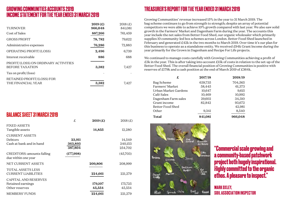### **GROWING COMMUNITIES ACCOUNTS 2019 INCOME STATEMENT FOR THE YEAR ENDED 31 MARCH 2019**

|                                                                | 2019(f) | 2018(f) |
|----------------------------------------------------------------|---------|---------|
| <b>TURNOVER</b>                                                | 966,048 | 841,081 |
| Cost of Sales                                                  | 887,266 | 761,459 |
| <b>GROSS PROFIT</b>                                            | 78,782  | 79,622  |
| Administrative expenses                                        | 76,286  | 72,883  |
| OPERATING PROFIT/(LOSS)                                        | 2,496   | 6,739   |
| Interest receivable                                            | 886     | 688     |
| PROFIT/(LOSS) ON ORDINARY ACTIVITIES<br><b>BEFORE TAXATION</b> | 3,382   | 7,427   |
| Tax on profit/(loss)                                           |         |         |
| RETAINED PROFIT/(LOSS) FOR<br>THE FINANCIAL YEAR               | 3,382   | 7.427   |

### **BALANCE SHEET 31 MARCH 2019**

|                                                              | £                            | 2019(f)           | 2018(f)                      |
|--------------------------------------------------------------|------------------------------|-------------------|------------------------------|
| <b>FIXED ASSETS</b><br>Tangible assets                       |                              | 14,855            | 12,280                       |
| <b>CURRENT ASSETS</b><br>Debtors<br>Cash at bank and in hand | 23,911<br>363,893<br>387,804 |                   | 14,549<br>240,153<br>254,702 |
| CREDITORS: amounts falling<br>due within one year            | (177,998)                    |                   | (45,703)                     |
| NET CURRENT ASSETS                                           |                              | 209,806           | 208,999                      |
| <b>TOTAL ASSETS LESS</b><br><b>CURRENT LIABILITIES</b>       |                              | 224,661           | 221,279                      |
| CAPITAL AND RESERVES<br>Retained earnings<br>Other reserves  |                              | 179,107<br>45,554 | 175,725<br>45,554            |
| <b>MEMBERS' FUNDS</b>                                        |                              | 224,661           | 221,279                      |

## **TREASURER'S REPORT FOR THE YEAR ENDED 31 MARCH 2019**

Growing Communities' revenue increased 15% in the year to 31 March 2019. The bag scheme continues to go from strength to strength; despite an array of potential competitors we were able to achieve  $10\%$  growth compared with last year. We also saw solid growth in the Farmers' Market and Dagenham Farm during the year. The accounts this year include the net sales from Better Food Shed, our organic wholesaler which primarily supplies 10 community-led box schemes across London. Better Food Shed launched in February and generated £42k in the two months to March 2019. Over time it's our plan for this business to operate as a standalone entity. We received £94k Grant Income during the year primarily for the Grown in Dagenham and Recipe For Life projects.

We continued to manage costs carefully with Growing Communities achieving a profit of £3k in the year. This is after taking into account £15k of costs in relation to the set-up of the Better Food Shed. The overall financial position of Growing Communities is positive with reserves of £179k and a cash position at the end of March 2019 of £364k.

| £                    | 2017/18 | 2018/19 |
|----------------------|---------|---------|
| Bag Scheme           | 639,735 | 704,565 |
| Farmers' Market      | 58,445  | 61,373  |
| Urban Market Gardens | 10,647  | 9,615   |
| Café Sales           | 10,469  | 10,992  |
| Dagenham Farm sales  | 29,602  | 34,310  |
| Grant income         | 82.842  | 93,672  |
| Better Food Shed     |         | 42,981  |
| Other                | 9,341   | 8,540   |
| <b>Total</b>         | 841,081 | 966.048 |



**"Commercial scale growing and a community-based patchwork project both hugely inspirational. Highly committed to the organic ethos. A pleasure to inspect."**

**Mark Oxley, Soil Associationinspector**